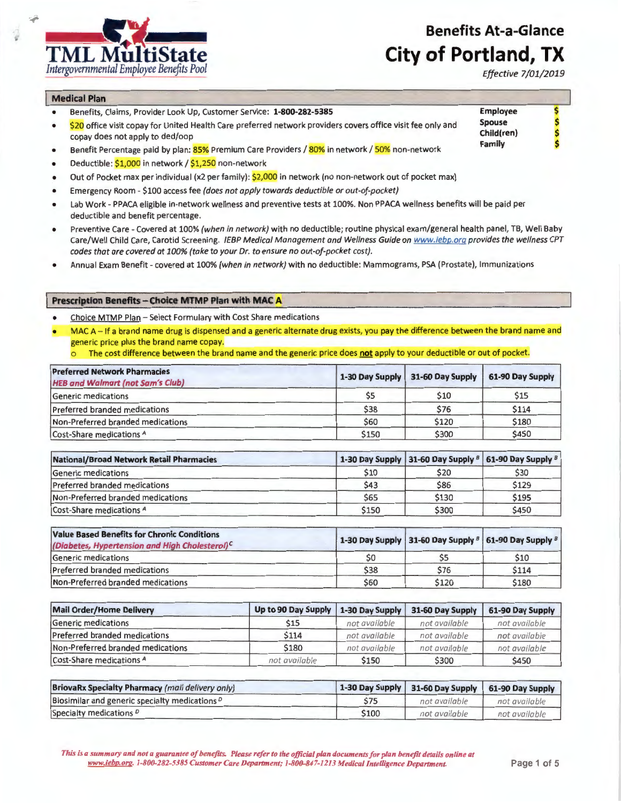*Effective 7/01/2019* 

\$ \$ \$ \$

**Employee Spouse Child{ren) Family** 



## **Medical Plan**

- Benefits, Claims, Provider Look Up, Customer Service: **1-800-282-5385**
- \$20 office visit copay for United Health Care preferred network providers covers office visit fee only and copay does not apply to ded/oop
- Benefit Percentage paid by plan: 85% Premium Care Providers / 80% in network / 50% non-network
- Deductible: \$1,000 in network / \$1,250 non-network
- Out of Pocket max per individual (x2 per family): \$2,000 in network (no non-network out of pocket max)
- Emergency Room \$100 access fee (does not apply towards deductible or out-of-pocket)
- Lab Work PPACA eligible in-network wellness and preventive tests at 100%. Non PPACA wellness benefits will be paid per deductible and benefit percentage.
- Preventive Care Covered at 100% (when in network) with no deductible; routine physical exam/general health panel, TB, Well Baby Care/Well Child Care, Carotid Screening. IEBP Medical Management and Wellness Guide on www.iebp.org provides the wellness CPT codes that are covered at 100% (take to your Dr. to ensure no out-of-pocket cost).
- Annual Exam Benefit covered at 100% (when in network) with no deductible: Mammograms, PSA (Prostate), Immunizations

## **Prescription Benefits - Choice MTMP Plan with MAC A**

- Choice MTMP Plan Select Formulary with Cost Share medications
- MAC A If a brand name drug is dispensed and a generic alternate drug exists, you pay the difference between the brand name and generic price plus the brand name copay.
	- o The cost difference between the brand name and the generic price does **not** apply to your deductible or out of pocket.

| <b>Preferred Network Pharmacies</b><br><b>HEB and Walmart (not Sam's Club)</b> |                | 1-30 Day Supply 31-60 Day Supply | 61-90 Day Supply |
|--------------------------------------------------------------------------------|----------------|----------------------------------|------------------|
| Generic medications                                                            | S <sub>5</sub> | \$10                             | \$15             |
| <b>Preferred branded medications</b>                                           | \$38           | \$76                             | \$114            |
| Non-Preferred branded medications                                              | \$60           | \$120                            | \$180            |
| Cost-Share medications A                                                       | \$150          | \$300                            | \$450            |

| National/Broad Network Retail Pharmacies |       | 1-30 Day Supply 31-60 Day Supply 8 61-90 Day Supply 8 |       |
|------------------------------------------|-------|-------------------------------------------------------|-------|
| Generic medications                      | \$10  | \$20                                                  | \$30  |
| Preferred branded medications            | \$43  | \$86                                                  | \$129 |
| Non-Preferred branded medications        | \$65  | \$130                                                 | \$195 |
| Cost-Share medications A                 | \$150 | \$300                                                 | \$450 |

| <b>Value Based Benefits for Chronic Conditions</b><br>(Diabetes, Hypertension and High Cholesterol) <sup>C</sup> |      |       | 1-30 Day Supply 31-60 Day Supply $\frac{1}{2}$ 61-90 Day Supply $\frac{1}{2}$ |
|------------------------------------------------------------------------------------------------------------------|------|-------|-------------------------------------------------------------------------------|
| Generic medications                                                                                              | \$0  |       | \$10                                                                          |
| Preferred branded medications                                                                                    | \$38 | \$76  | \$114                                                                         |
| Non-Preferred branded medications                                                                                | \$60 | \$120 | \$180                                                                         |

| Mail Order/Home Delivery          | Up to 90 Day Supply   1-30 Day Supply   31-60 Day Supply |               |               | 61-90 Day Supply |
|-----------------------------------|----------------------------------------------------------|---------------|---------------|------------------|
| Generic medications               | \$15                                                     | not available | not available | not available    |
| Preferred branded medications     | <b>S114</b>                                              | not available | not available | not available    |
| Non-Preferred branded medications | \$180                                                    | not available | not available | not available    |
| Cost-Share medications A          | not available                                            | \$150         | \$300         | \$450            |

| <b>BriovaRx Specialty Pharmacy (mail delivery only)</b>   |       |               | 1-30 Day Supply   31-60 Day Supply   61-90 Day Supply |  |
|-----------------------------------------------------------|-------|---------------|-------------------------------------------------------|--|
| Biosimilar and generic specialty medications <sup>p</sup> |       | not available | not available                                         |  |
| Specialty medications <sup>D</sup>                        | \$100 | not available | not available                                         |  |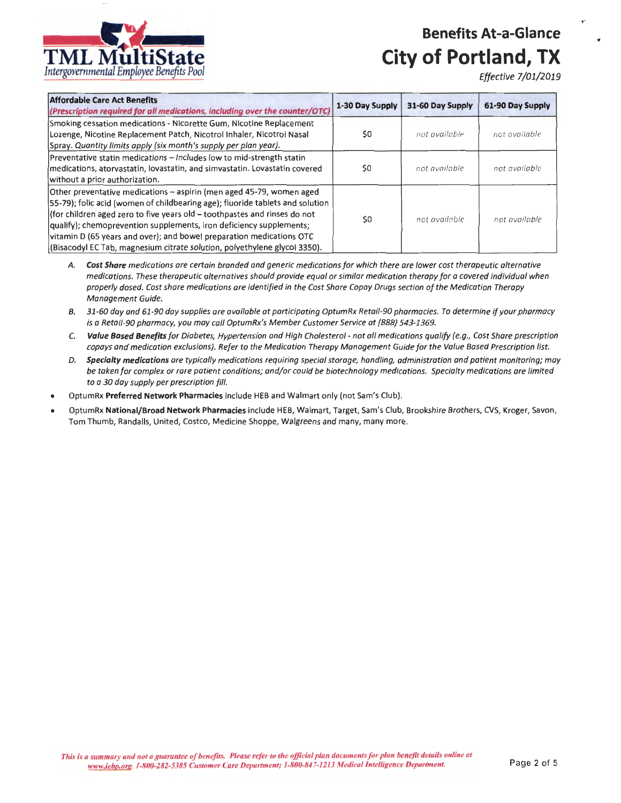

*Effective 7/01/2019* 

| <b>Affordable Care Act Benefits</b><br>(Prescription required for all medications, including over the counter/OTC)                                                                                                                                                                                                                                                                                                                                              | 1-30 Day Supply | 31-60 Day Supply | 61-90 Day Supply |
|-----------------------------------------------------------------------------------------------------------------------------------------------------------------------------------------------------------------------------------------------------------------------------------------------------------------------------------------------------------------------------------------------------------------------------------------------------------------|-----------------|------------------|------------------|
| Smoking cessation medications - Nicorette Gum, Nicotine Replacement<br>Lozenge, Nicotine Replacement Patch, Nicotrol Inhaler, Nicotrol Nasal<br>Spray. Quantity limits apply (six month's supply per plan year).                                                                                                                                                                                                                                                | \$0             | not available    | rict available   |
| Preventative statin medications - Includes low to mid-strength statin<br>medications, atorvastatin, lovastatin, and simvastatin. Lovastatin covered<br>without a prior authorization.                                                                                                                                                                                                                                                                           | \$0             | not available    | not available    |
| Other preventative medications - aspirin (men aged 45-79, women aged<br>[55-79]; folic acid (women of childbearing age); fluoride tablets and solution<br>(for children aged zero to five years old - toothpastes and rinses do not<br>qualify); chemoprevention supplements, iron deficiency supplements;<br>vitamin D (65 years and over); and bowel preparation medications OTC<br>(Bisacodyl EC Tab, magnesium citrate solution, polyethylene glycol 3350). | \$0             | not available    | not available    |

- A. *Cost Share* medications are certain branded and generic medications for which there are lower cost therapeutic alternative medications. These therapeutic alternatives should provide equal or similar medication therapy for a covered individual when properly dosed. Cost share medications are identified in the Cost Share Copay Drugs section of the Medication Therapy Management Guide.
- B. 31-60 day and 61 -90 day supplies are available at participating OptumRx Retail-90 pharmacies. To determine *if* your pharmacy is a Retail-90 pharmacy, you may call OptumRx's Member Customer Service at (888) 543-1369.
- C. *Value Based Benefits* for Diabetes, Hypertension and High Cholesterol not all medications qualify (e.g., Cost Share prescription copays and medication exclusions). Refer to the Medication Therapy Management Guide for the Value Based Prescription list.
- D. *Specialty medications* are typically medications requiring special storage, handling, administration and patient monitoring; may be taken for complex or rare patient conditions; and/or could be biotechnology medications. Specialty medications are limited to a 30 day supply per prescription fill.
- OptumRx **Preferred Network Pharmacies** include HEB and Walmart only (not Sam's Club).
- OptumRx **National/Broad Network Pharmacies** include HEB, Walmart, Target, Sam's Club, Brookshire Brothers, CVS, Kroger, Savon, Tom Thumb, Randalls, United, Costco, Medicine Shoppe, Walgreens and many, many more.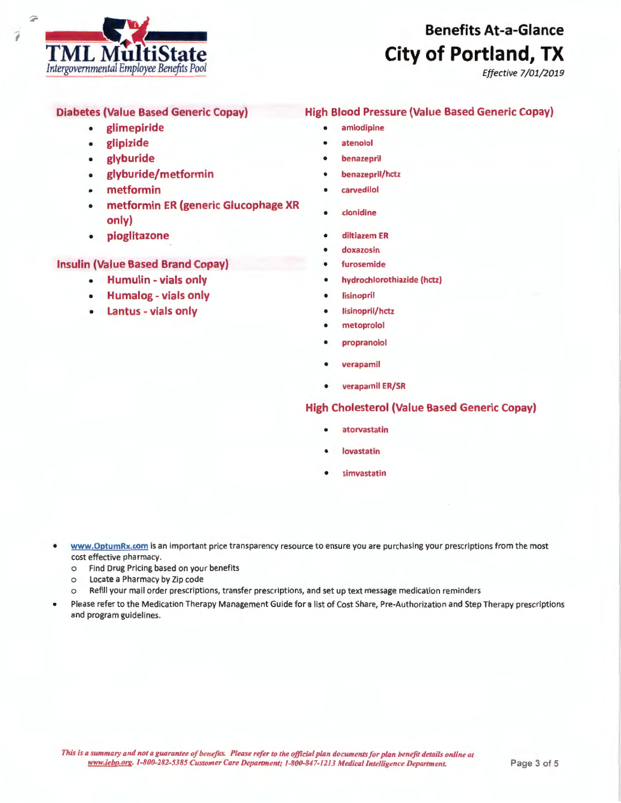

*Effective 7/01/2019* 

# Diabetes (Value Based Generic Copay)

- glimepiride
- glipizide
- glyburide
- glyburide/metformin
- metformin
- metformin ER (generic Glucophage XR only)
- pioglitazone

# Insulin (Value Based Brand Copay)

- Humulin vials only
- Humalog vials only
- Lantus vials only

# High Blood Pressure (Value Based Generic Copay)

- amlodipine
- **atenolol**
- **benazepril**
- benazepril/hctz
- carvedilol
- clonidine
- diltiazem ER
- doxazosin
- furosemide
- hydrochlorothiazide (hctz)
- **lisinopril**
- **lisinopril/hctz**
- **metoprolol**
- **propranolol**
- **verapamil**
- **verapamil ER/SR**

# **High Cholesterol (Value Based Generic Copay)**

- **atorvastatin**
- **lovastatin**
- **simvastatin**
- **www.OptumRx.com** is an important price transparency resource to ensure you are purchasing your prescriptions from the most cost effective pharmacy.
	- o Find Drug Pricing based on your benefits
	- o Locate a Pharmacy by Zip code
	- o Refill your mail order prescriptions, transfer prescriptions, and set up text message medication reminders
- Please refer to the Medication Therapy Management Guide for a list of Cost Share, Pre-Authorization and Step Therapy prescriptions and program guidelines.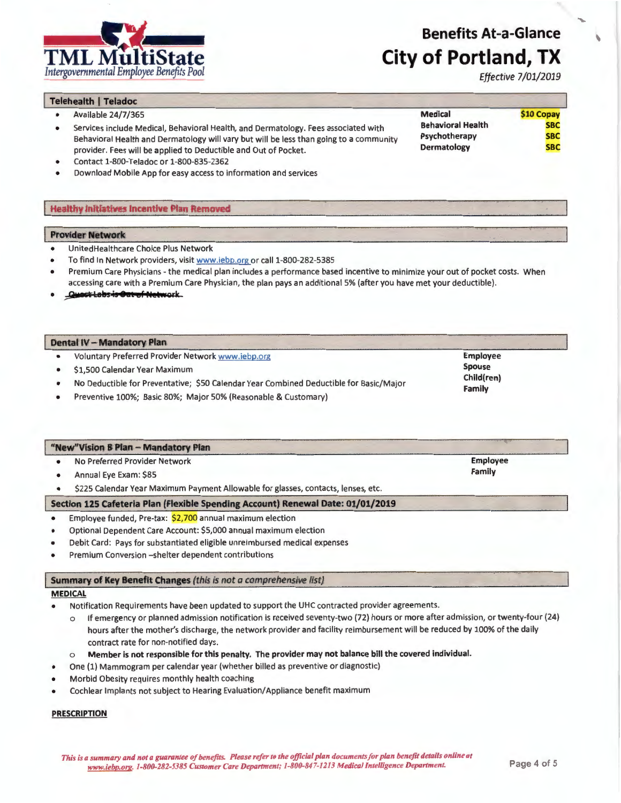*Effective* 7/01/2019

**\$10 Copay SBC SBC SBC** 

| <b>Telehealth   Teladoc</b> |  |
|-----------------------------|--|
|                             |  |

- Available 24/7/365
- Services include Medical, Behavioral Health, and Dermatology. Fees associated with Behavioral Health and Dermatology will vary but will be less than going to a community provider. Fees will be applied to Deductible and Out of Pocket.
- Contact 1-800-Teladoc or 1-800-835-2362
- Download Mobile App for easy access to information and services

## **Healthy Initiatives Incentive Plan Removed**

## **Provider Network**

- UnitedHealthcare Choice Plus Network
- To find In Network providers, visit www.iebp.org or call 1-800-282-5385
- Premium Care Physicians the medical plan includes a performance based incentive to minimize your out of pocket costs. When accessing care with a Premium Care Physician, the plan pays an additional 5% (after you have met your deductible).
- *<u>Quest Labs is Out of Network</u>*

#### **Dental IV** - **Mandatory Plan**

- Voluntary Preferred Provider Network www.iebp.org
- \$1,500 Calendar Year Maximum
- No Deductible for Preventative; \$50 Calendar Year Combined Deductible for Basic/Major
- Preventive 100%; Basic 80%; Major 50% (Reasonable & Customary)

| "New"Vision B Plan - Mandatory Plan                                               |          |  |
|-----------------------------------------------------------------------------------|----------|--|
| No Preferred Provider Network                                                     | Employee |  |
| Annual Eye Exam: \$85                                                             | Family   |  |
| \$225 Calendar Year Maximum Payment Allowable for glasses, contacts, lenses, etc. |          |  |
| Section 125 Cafeteria Plan (Flexible Spending Account) Renewal Date: 01/01/2019   |          |  |
| Employee funded, Pre-tax: \$2,700 annual maximum election                         |          |  |

## • Optional Dependent Care Account: \$5,000 annual maximum election

- Debit Card: Pays for substantiated eligible unreimbursed medical expenses
- Premium Conversion -shelter dependent contributions

#### **Summary of Key Benefit Changes** (this is not a comprehensive list)

## **MEDICAL**

- Notification Requirements have been updated to support the UHC contracted provider agreements.
	- o If emergency or planned admission notification is received seventy-two (72) hours or more after admission, or twenty-four (24) hours after the mother's discharge, the network provider and facility reimbursement will be reduced by 100% of the daily contract rate for non-notified days.

### o **Member is not responsible for this penalty. The provider may not balance bill the covered individual.**

- One (1) Mammogram per calendar year (whether billed as preventive or diagnostic)
- Morbid Obesity requires monthly health coaching
- Cochlear Implants not subject to Hearing Evaluation/Appliance benefit maximum

#### **PRESCRIPTION**

**Behavioral Health Psychotherapy Dermatology** 

**Medical** 

**Spouse Child(ren) Family** 

**Employee**